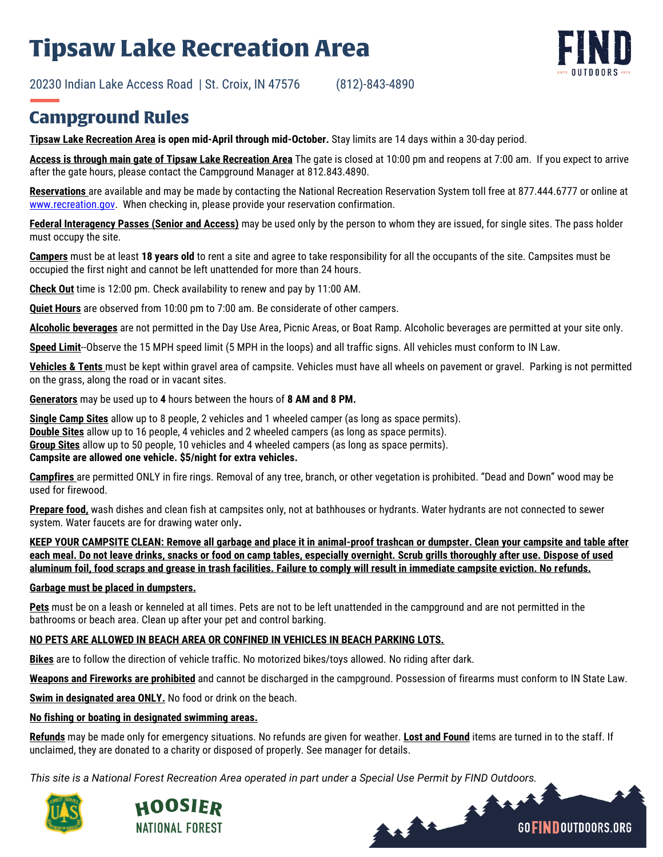## **Tipsaw Lake Recreation Area**

20230 Indian Lake Access Road | St. Croix, IN 47576 (812)-843-4890



**Tipsaw Lake Recreation Area is open mid-April through mid-October.** Stay limits are 14 days within a 30-day period.

**Access is through main gate of Tipsaw Lake Recreation Area** The gate is closed at 10:00 pm and reopens at 7:00 am. If you expect to arrive after the gate hours, please contact the Campground Manager at 812.843.4890.

**Reservations** are available and may be made by contacting the National Recreation Reservation System toll free at 877.444.6777 or online at [www.recreation.gov.](http://www.recreation.gov/) When checking in, please provide your reservation confirmation.

**Federal Interagency Passes (Senior and Access)** may be used only by the person to whom they are issued, for single sites. The pass holder must occupy the site.

**Campers** must be at least **18 years old** to rent a site and agree to take responsibility for all the occupants of the site. Campsites must be occupied the first night and cannot be left unattended for more than 24 hours.

**Check Out** time is 12:00 pm. Check availability to renew and pay by 11:00 AM.

**Quiet Hours** are observed from 10:00 pm to 7:00 am. Be considerate of other campers.

**Alcoholic beverages** are not permitted in the Day Use Area, Picnic Areas, or Boat Ramp. Alcoholic beverages are permitted at your site only.

**Speed Limit**--Observe the 15 MPH speed limit (5 MPH in the loops) and all traffic signs. All vehicles must conform to IN Law.

**Vehicles & Tents** must be kept within gravel area of campsite. Vehicles must have all wheels on pavement or gravel. Parking is not permitted on the grass, along the road or in vacant sites.

**Generators** may be used up to **4** hours between the hours of **8 AM and 8 PM.**

**Single Camp Sites** allow up to 8 people, 2 vehicles and 1 wheeled camper (as long as space permits). **Double Sites** allow up to 16 people, 4 vehicles and 2 wheeled campers (as long as space permits). **Group Sites** allow up to 50 people, 10 vehicles and 4 wheeled campers (as long as space permits). **Campsite are allowed one vehicle. \$5/night for extra vehicles.** 

**Campfires** are permitted ONLY in fire rings. Removal of any tree, branch, or other vegetation is prohibited. "Dead and Down" wood may be used for firewood.

**Prepare food,** wash dishes and clean fish at campsites only, not at bathhouses or hydrants. Water hydrants are not connected to sewer system. Water faucets are for drawing water only**.**

**KEEP YOUR CAMPSITE CLEAN: Remove all garbage and place it in animal-proof trashcan or dumpster. Clean your campsite and table after each meal. Do not leave drinks, snacks or food on camp tables, especially overnight. Scrub grills thoroughly after use. Dispose of used aluminum foil, food scraps and grease in trash facilities. Failure to comply will result in immediate campsite eviction. No refunds.**

## **Garbage must be placed in dumpsters.**

**Pets** must be on a leash or kenneled at all times. Pets are not to be left unattended in the campground and are not permitted in the bathrooms or beach area. Clean up after your pet and control barking.

## **NO PETS ARE ALLOWED IN BEACH AREA OR CONFINED IN VEHICLES IN BEACH PARKING LOTS.**

**Bikes** are to follow the direction of vehicle traffic. No motorized bikes/toys allowed. No riding after dark.

**Weapons and Fireworks are prohibited** and cannot be discharged in the campground. Possession of firearms must conform to IN State Law.

**Swim in designated area ONLY.** No food or drink on the beach.

## **No fishing or boating in designated swimming areas.**

**Refunds** may be made only for emergency situations. No refunds are given for weather. **Lost and Found** items are turned in to the staff. If unclaimed, they are donated to a charity or disposed of properly. See manager for details.

mar

**GOFINDOUTDOORS.ORG** 

*This site is a National Forest Recreation Area operated in part under a Special Use Permit by FIND Outdoors.*